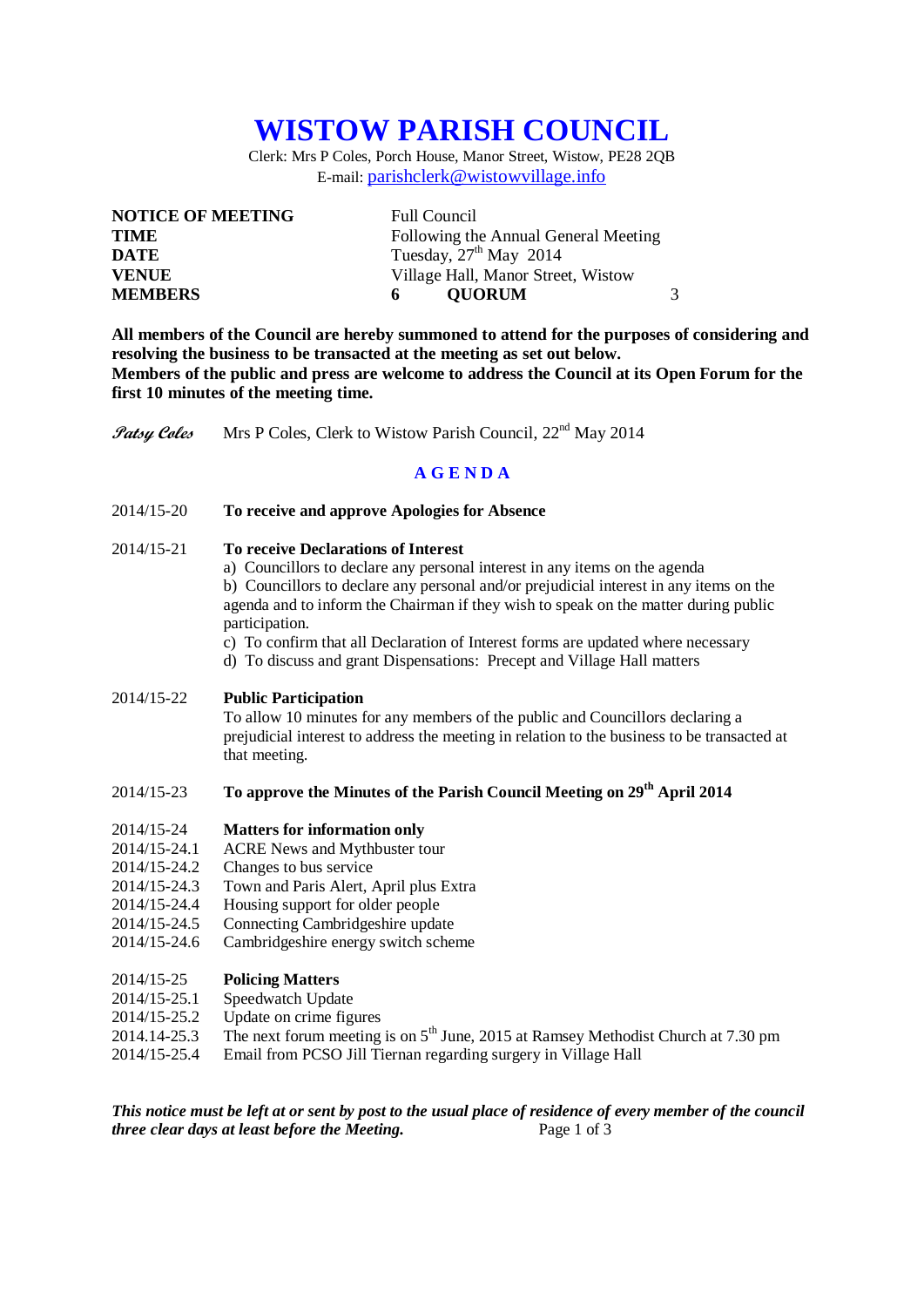# **WISTOW PARISH COUNCIL**

Clerk: Mrs P Coles, Porch House, Manor Street, Wistow, PE28 2QB E-mail: [parishclerk@wistowvillage.info](mailto:parishclerk@wistowvillage.info)

| <b>NOTICE OF MEETING</b> | <b>Full Council</b>                  |  |
|--------------------------|--------------------------------------|--|
| <b>TIME</b>              | Following the Annual General Meeting |  |
| <b>DATE</b>              | Tuesday, $27th$ May 2014             |  |
| <b>VENUE</b>             | Village Hall, Manor Street, Wistow   |  |
| <b>MEMBERS</b>           | <b>OUORUM</b><br>6.                  |  |

**All members of the Council are hereby summoned to attend for the purposes of considering and resolving the business to be transacted at the meeting as set out below. Members of the public and press are welcome to address the Council at its Open Forum for the first 10 minutes of the meeting time.**

Patsy Coles Mrs P Coles, Clerk to Wistow Parish Council, 22<sup>nd</sup> May 2014

### **A G E N D A**

- 2014/15-20 **To receive and approve Apologies for Absence**
- 2014/15-21 **To receive Declarations of Interest**
	- a) Councillors to declare any personal interest in any items on the agenda

b) Councillors to declare any personal and/or prejudicial interest in any items on the agenda and to inform the Chairman if they wish to speak on the matter during public participation.

c) To confirm that all Declaration of Interest forms are updated where necessary

d) To discuss and grant Dispensations: Precept and Village Hall matters

2014/15-22 **Public Participation** To allow 10 minutes for any members of the public and Councillors declaring a prejudicial interest to address the meeting in relation to the business to be transacted at

that meeting.

## 2014/15-23 **To approve the Minutes of the Parish Council Meeting on 29th April 2014**

#### 2014/15-24 **Matters for information only**

- 2014/15-24.1 ACRE News and Mythbuster tour
- 2014/15-24.2 Changes to bus service
- 2014/15-24.3 Town and Paris Alert, April plus Extra
- 2014/15-24.4 Housing support for older people
- 2014/15-24.5 Connecting Cambridgeshire update<br>2014/15-24.6 Cambridgeshire energy switch schen
- Cambridgeshire energy switch scheme

#### 2014/15-25 **Policing Matters**

- 2014/15-25.1 Speedwatch Update
- 2014/15-25.2 Update on crime figures
- 2014.14-25.3 The next forum meeting is on  $5<sup>th</sup>$  June, 2015 at Ramsey Methodist Church at 7.30 pm
- 2014/15-25.4 Email from PCSO Jill Tiernan regarding surgery in Village Hall

*This notice must be left at or sent by post to the usual place of residence of every member of the council three clear days at least before the Meeting.* Page 1 of 3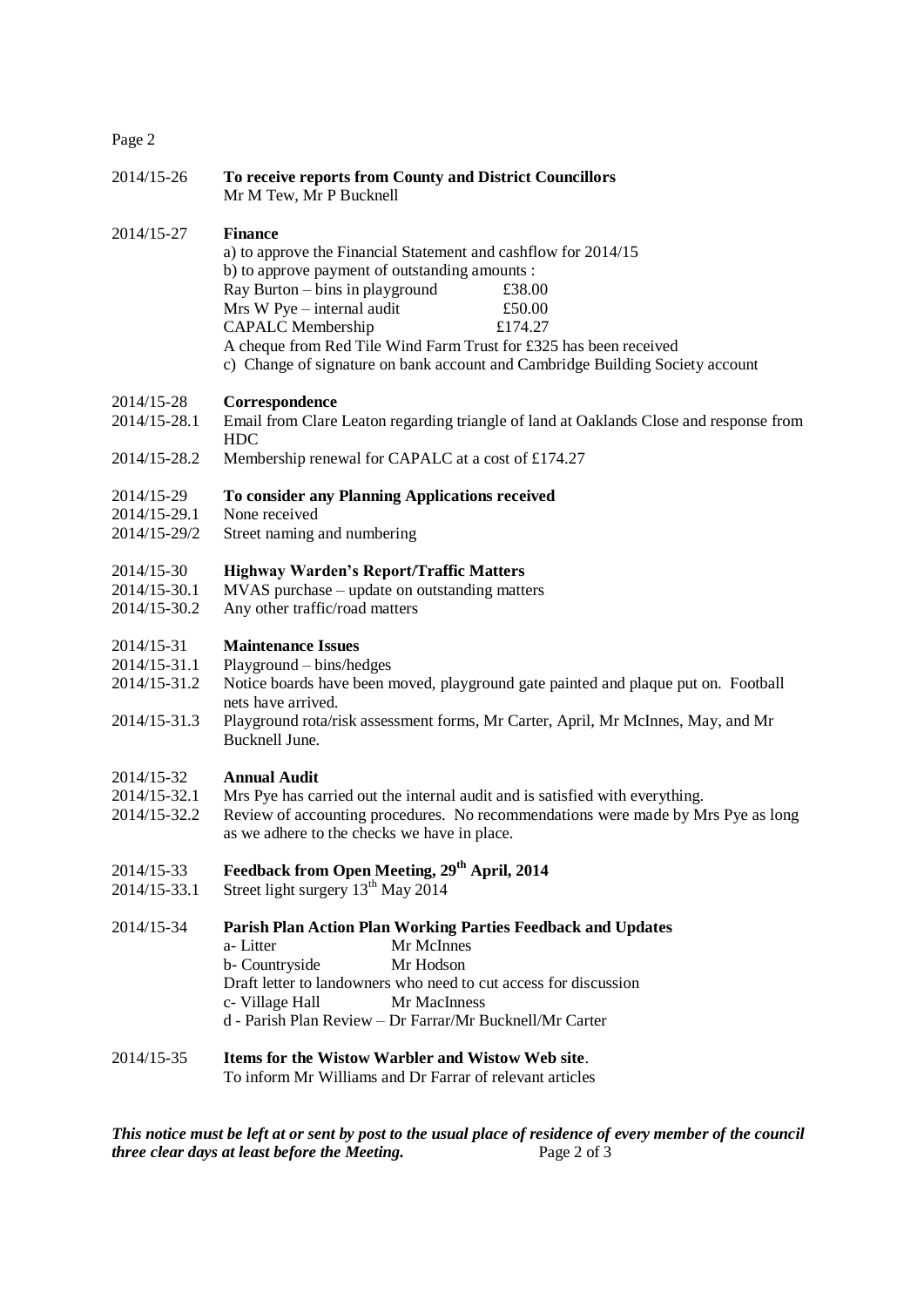## Page 2

| 2014/15-26   | To receive reports from County and District Councillors<br>Mr M Tew, Mr P Bucknell                                                                                                                                                                                                                                                                                                                                   |
|--------------|----------------------------------------------------------------------------------------------------------------------------------------------------------------------------------------------------------------------------------------------------------------------------------------------------------------------------------------------------------------------------------------------------------------------|
| 2014/15-27   | <b>Finance</b><br>a) to approve the Financial Statement and cashflow for 2014/15<br>b) to approve payment of outstanding amounts :<br>Ray Burton - bins in playground<br>£38.00<br>Mrs W Pye - internal audit<br>£50.00<br><b>CAPALC</b> Membership<br>£174.27<br>A cheque from Red Tile Wind Farm Trust for £325 has been received<br>c) Change of signature on bank account and Cambridge Building Society account |
| 2014/15-28   | Correspondence                                                                                                                                                                                                                                                                                                                                                                                                       |
| 2014/15-28.1 | Email from Clare Leaton regarding triangle of land at Oaklands Close and response from<br><b>HDC</b>                                                                                                                                                                                                                                                                                                                 |
| 2014/15-28.2 | Membership renewal for CAPALC at a cost of £174.27                                                                                                                                                                                                                                                                                                                                                                   |
| 2014/15-29   | To consider any Planning Applications received                                                                                                                                                                                                                                                                                                                                                                       |
| 2014/15-29.1 | None received                                                                                                                                                                                                                                                                                                                                                                                                        |
| 2014/15-29/2 | Street naming and numbering                                                                                                                                                                                                                                                                                                                                                                                          |
| 2014/15-30   | <b>Highway Warden's Report/Traffic Matters</b>                                                                                                                                                                                                                                                                                                                                                                       |
| 2014/15-30.1 | MVAS purchase – update on outstanding matters                                                                                                                                                                                                                                                                                                                                                                        |
| 2014/15-30.2 | Any other traffic/road matters                                                                                                                                                                                                                                                                                                                                                                                       |
| 2014/15-31   | <b>Maintenance Issues</b>                                                                                                                                                                                                                                                                                                                                                                                            |
| 2014/15-31.1 | Playground - bins/hedges                                                                                                                                                                                                                                                                                                                                                                                             |
| 2014/15-31.2 | Notice boards have been moved, playground gate painted and plaque put on. Football                                                                                                                                                                                                                                                                                                                                   |
|              | nets have arrived.                                                                                                                                                                                                                                                                                                                                                                                                   |
| 2014/15-31.3 | Playground rota/risk assessment forms, Mr Carter, April, Mr McInnes, May, and Mr<br>Bucknell June.                                                                                                                                                                                                                                                                                                                   |
| 2014/15-32   | <b>Annual Audit</b>                                                                                                                                                                                                                                                                                                                                                                                                  |
| 2014/15-32.1 | Mrs Pye has carried out the internal audit and is satisfied with everything.                                                                                                                                                                                                                                                                                                                                         |
| 2014/15-32.2 | Review of accounting procedures. No recommendations were made by Mrs Pye as long                                                                                                                                                                                                                                                                                                                                     |
|              | as we adhere to the checks we have in place.                                                                                                                                                                                                                                                                                                                                                                         |
| 2014/15-33   | Feedback from Open Meeting, 29 <sup>th</sup> April, 2014                                                                                                                                                                                                                                                                                                                                                             |
| 2014/15-33.1 | Street light surgery 13 <sup>th</sup> May 2014                                                                                                                                                                                                                                                                                                                                                                       |
| 2014/15-34   | Parish Plan Action Plan Working Parties Feedback and Updates<br>a-Litter<br>Mr McInnes                                                                                                                                                                                                                                                                                                                               |
|              | b- Countryside<br>Mr Hodson                                                                                                                                                                                                                                                                                                                                                                                          |
|              | Draft letter to landowners who need to cut access for discussion                                                                                                                                                                                                                                                                                                                                                     |
|              | c- Village Hall<br>Mr MacInness                                                                                                                                                                                                                                                                                                                                                                                      |
|              | d - Parish Plan Review - Dr Farrar/Mr Bucknell/Mr Carter                                                                                                                                                                                                                                                                                                                                                             |
| 2014/15-35   | Items for the Wistow Warbler and Wistow Web site.                                                                                                                                                                                                                                                                                                                                                                    |
|              | To inform Mr Williams and Dr Farrar of relevant articles                                                                                                                                                                                                                                                                                                                                                             |
|              |                                                                                                                                                                                                                                                                                                                                                                                                                      |

*This notice must be left at or sent by post to the usual place of residence of every member of the council three clear days at least before the Meeting.* Page 2 of 3